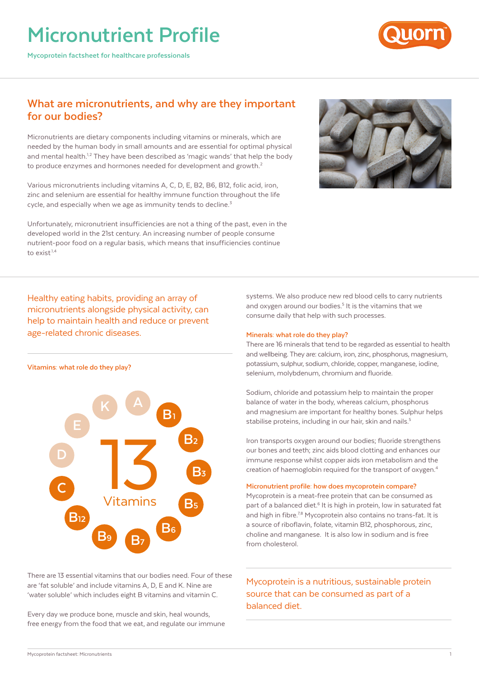# **Micronutrient Profile**

**Mycoprotein factsheet for healthcare professionals**



# **What are micronutrients, and why are they important for our bodies?**

Micronutrients are dietary components including vitamins or minerals, which are needed by the human body in small amounts and are essential for optimal physical and mental health.<sup>1,2</sup> They have been described as 'magic wands' that help the body to produce enzymes and hormones needed for development and growth.<sup>2</sup>

Various micronutrients including vitamins A, C, D, E, B2, B6, B12, folic acid, iron, zinc and selenium are essential for healthy immune function throughout the life cycle, and especially when we age as immunity tends to decline.<sup>3</sup>

Unfortunately, micronutrient insufficiencies are not a thing of the past, even in the developed world in the 21st century. An increasing number of people consume nutrient-poor food on a regular basis, which means that insufficiencies continue to exist.1,4



Healthy eating habits, providing an array of micronutrients alongside physical activity, can help to maintain health and reduce or prevent age-related chronic diseases.



There are 13 essential vitamins that our bodies need. Four of these are 'fat soluble' and include vitamins A, D, E and K. Nine are 'water soluble' which includes eight B vitamins and vitamin C.

Every day we produce bone, muscle and skin, heal wounds, free energy from the food that we eat, and regulate our immune systems. We also produce new red blood cells to carry nutrients and oxygen around our bodies.<sup>5</sup> It is the vitamins that we consume daily that help with such processes.

### **Minerals: what role do they play?**

There are 16 minerals that tend to be regarded as essential to health and wellbeing. They are: calcium, iron, zinc, phosphorus, magnesium, potassium, sulphur, sodium, chloride, copper, manganese, iodine, selenium, molybdenum, chromium and fluoride.

Sodium, chloride and potassium help to maintain the proper balance of water in the body, whereas calcium, phosphorus and magnesium are important for healthy bones. Sulphur helps stabilise proteins, including in our hair, skin and nails.<sup>5</sup>

Iron transports oxygen around our bodies; fluoride strengthens our bones and teeth; zinc aids blood clotting and enhances our immune response whilst copper aids iron metabolism and the creation of haemoglobin required for the transport of oxygen.4

### **Micronutrient profile: how does mycoprotein compare?**

Mycoprotein is a meat-free protein that can be consumed as part of a balanced diet.<sup>6</sup> It is high in protein, low in saturated fat and high in fibre.<sup>7,8</sup> Mycoprotein also contains no trans-fat. It is a source of riboflavin, folate, vitamin B12, phosphorous, zinc, choline and manganese. It is also low in sodium and is free from cholesterol.

Mycoprotein is a nutritious, sustainable protein source that can be consumed as part of a balanced diet.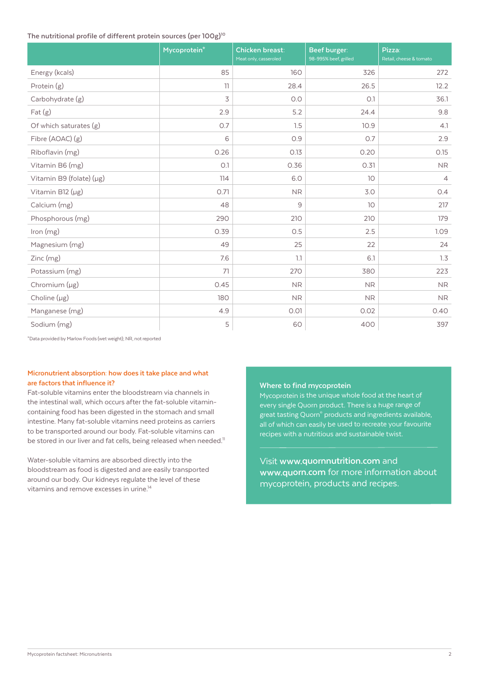# **The nutritional profile of different protein sources (per 100g)10**

|                          | Mycoprotein* | <b>Chicken breast:</b><br>Meat only, casseroled | Beef burger:<br>98-995% beef, grilled | Pizza:<br>Retail, cheese & tomato |
|--------------------------|--------------|-------------------------------------------------|---------------------------------------|-----------------------------------|
| Energy (kcals)           | 85           | 160                                             | 326                                   | 272                               |
| Protein (g)              | 11           | 28.4                                            | 26.5                                  | 12.2                              |
| Carbohydrate (g)         | 3            | O.O                                             | O.1                                   | 36.1                              |
| $ext{Fat}(g)$            | 2.9          | 5.2                                             | 24.4                                  | 9.8                               |
| Of which saturates $(g)$ | 0.7          | 1.5                                             | 10.9                                  | 4.1                               |
| Fibre (AOAC) (g)         | 6            | 0.9                                             | O.7                                   | 2.9                               |
| Riboflavin (mg)          | 0.26         | 0.13                                            | 0.20                                  | 0.15                              |
| Vitamin B6 (mg)          | O.1          | 0.36                                            | 0.31                                  | <b>NR</b>                         |
| Vitamin B9 (folate) (µg) | 114          | 6.0                                             | 10                                    | $\overline{4}$                    |
| Vitamin B12 (µg)         | 0.71         | <b>NR</b>                                       | 3.0                                   | O.4                               |
| Calcium (mg)             | 48           | 9                                               | 10                                    | 217                               |
| Phosphorous (mg)         | 290          | 210                                             | 210                                   | 179                               |
| Iron (mg)                | 0.39         | 0.5                                             | 2.5                                   | 1.09                              |
| Magnesium (mg)           | 49           | 25                                              | 22                                    | 24                                |
| Zinc (mg)                | 7.6          | 1.1                                             | 6.1                                   | 1.3                               |
| Potassium (mg)           | 71           | 270                                             | 380                                   | 223                               |
| Chromium (µg)            | 0.45         | ${\sf NR}$                                      | ${\sf NR}$                            | ${\sf NR}$                        |
| Choline $(\mu g)$        | 180          | <b>NR</b>                                       | <b>NR</b>                             | <b>NR</b>                         |
| Manganese (mg)           | 4.9          | 0.01                                            | 0.02                                  | 0.40                              |
| Sodium (mg)              | 5            | 60                                              | 400                                   | 397                               |

\*Data provided by Marlow Foods (wet weight); NR, not reported

# **Micronutrient absorption: how does it take place and what are factors that influence it?**

Fat-soluble vitamins enter the bloodstream via channels in the intestinal wall, which occurs after the fat-soluble vitamincontaining food has been digested in the stomach and small intestine. Many fat-soluble vitamins need proteins as carriers to be transported around our body. Fat-soluble vitamins can be stored in our liver and fat cells, being released when needed.<sup>11</sup>

Water-soluble vitamins are absorbed directly into the bloodstream as food is digested and are easily transported around our body. Our kidneys regulate the level of these vitamins and remove excesses in urine.<sup>14</sup>

#### **Where to find mycoprotein**

Mycoprotein is the unique whole food at the heart of every single Quorn product. There is a huge range of great tasting Quorn® products and ingredients available, all of which can easily be used to recreate your favourite recipes with a nutritious and sustainable twist.

Visit **www.quornnutrition.com** and **www.quorn.com** for more information about mycoprotein, products and recipes.